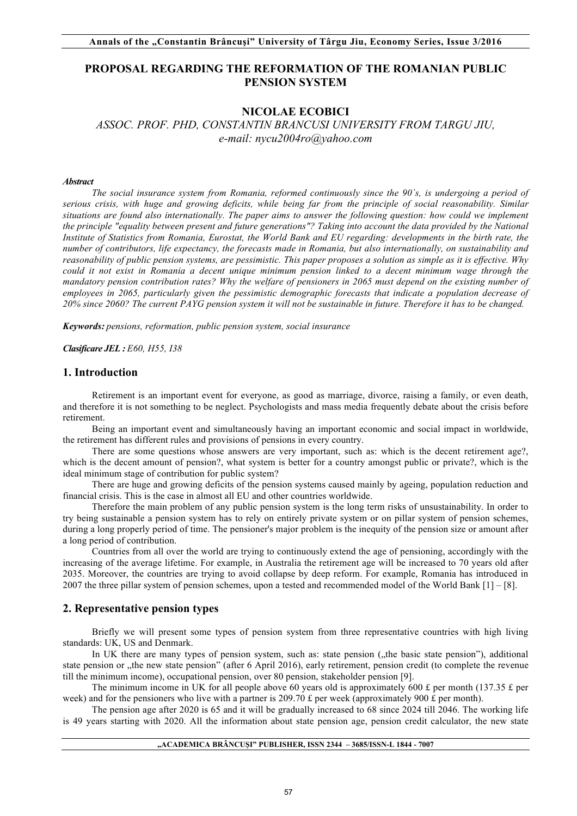# **PROPOSAL REGARDING THE REFORMATION OF THE ROMANIAN PUBLIC PENSION SYSTEM**

# **NICOLAE ECOBICI**

*ASSOC. PROF. PHD, CONSTANTIN BRANCUSI UNIVERSITY FROM TARGU JIU, e-mail: nycu2004ro@yahoo.com* 

### *Abstract*

*The social insurance system from Romania, reformed continuously since the 90`s, is undergoing a period of serious crisis, with huge and growing deficits, while being far from the principle of social reasonability. Similar situations are found also internationally. The paper aims to answer the following question: how could we implement the principle "equality between present and future generations"? Taking into account the data provided by the National Institute of Statistics from Romania, Eurostat, the World Bank and EU regarding: developments in the birth rate, the number of contributors, life expectancy, the forecasts made in Romania, but also internationally, on sustainability and reasonability of public pension systems, are pessimistic. This paper proposes a solution as simple as it is effective. Why could it not exist in Romania a decent unique minimum pension linked to a decent minimum wage through the mandatory pension contribution rates? Why the welfare of pensioners in 2065 must depend on the existing number of employees in 2065, particularly given the pessimistic demographic forecasts that indicate a population decrease of 20% since 2060? The current PAYG pension system it will not be sustainable in future. Therefore it has to be changed.*

*Keywords: pensions, reformation, public pension system, social insurance*

*Clasificare JEL : E60, H55, I38*

### **1. Introduction**

Retirement is an important event for everyone, as good as marriage, divorce, raising a family, or even death, and therefore it is not something to be neglect. Psychologists and mass media frequently debate about the crisis before retirement.

Being an important event and simultaneously having an important economic and social impact in worldwide, the retirement has different rules and provisions of pensions in every country.

There are some questions whose answers are very important, such as: which is the decent retirement age?, which is the decent amount of pension?, what system is better for a country amongst public or private?, which is the ideal minimum stage of contribution for public system?

There are huge and growing deficits of the pension systems caused mainly by ageing, population reduction and financial crisis. This is the case in almost all EU and other countries worldwide.

Therefore the main problem of any public pension system is the long term risks of unsustainability. In order to try being sustainable a pension system has to rely on entirely private system or on pillar system of pension schemes, during a long properly period of time. The pensioner's major problem is the inequity of the pension size or amount after a long period of contribution.

Countries from all over the world are trying to continuously extend the age of pensioning, accordingly with the increasing of the average lifetime. For example, in Australia the retirement age will be increased to 70 years old after 2035. Moreover, the countries are trying to avoid collapse by deep reform. For example, Romania has introduced in 2007 the three pillar system of pension schemes, upon a tested and recommended model of the World Bank [1] – [8].

# **2. Representative pension types**

Briefly we will present some types of pension system from three representative countries with high living standards: UK, US and Denmark.

In UK there are many types of pension system, such as: state pension ("the basic state pension"), additional state pension or "the new state pension" (after 6 April 2016), early retirement, pension credit (to complete the revenue till the minimum income), occupational pension, over 80 pension, stakeholder pension [9].

The minimum income in UK for all people above 60 years old is approximately 600 £ per month (137.35 £ per week) and for the pensioners who live with a partner is 209.70 £ per week (approximately 900 £ per month).

The pension age after 2020 is 65 and it will be gradually increased to 68 since 2024 till 2046. The working life is 49 years starting with 2020. All the information about state pension age, pension credit calculator, the new state

#### **"ACADEMICA BRÂNCUŞI" PUBLISHER, ISSN 2344 – 3685/ISSN-L 1844 - 7007**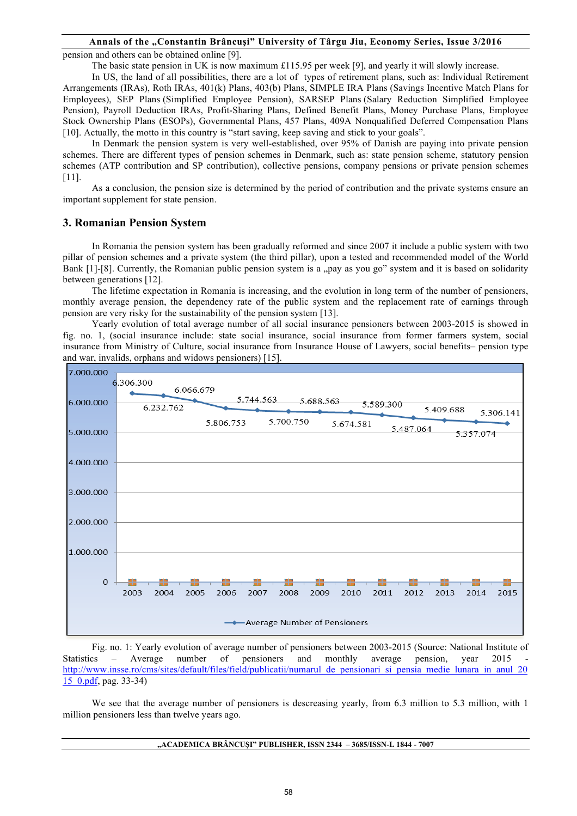# **Annals of the "Constantin Brâncuşi" University of Târgu Jiu, Economy Series, Issue 3/2016**

pension and others can be obtained online [9].

The basic state pension in UK is now maximum £115.95 per week [9], and yearly it will slowly increase.

In US, the land of all possibilities, there are a lot of types of retirement plans, such as: Individual Retirement Arrangements (IRAs), Roth IRAs, 401(k) Plans, 403(b) Plans, SIMPLE IRA Plans (Savings Incentive Match Plans for Employees), SEP Plans (Simplified Employee Pension), SARSEP Plans (Salary Reduction Simplified Employee Pension), Payroll Deduction IRAs, Profit-Sharing Plans, Defined Benefit Plans, Money Purchase Plans, Employee Stock Ownership Plans (ESOPs), Governmental Plans, 457 Plans, 409A Nonqualified Deferred Compensation Plans [10]. Actually, the motto in this country is "start saving, keep saving and stick to your goals".

In Denmark the pension system is very well-established, over 95% of Danish are paying into private pension schemes. There are different types of pension schemes in Denmark, such as: state pension scheme, statutory pension schemes (ATP contribution and SP contribution), collective pensions, company pensions or private pension schemes [11].

As a conclusion, the pension size is determined by the period of contribution and the private systems ensure an important supplement for state pension.

### **3. Romanian Pension System**

In Romania the pension system has been gradually reformed and since 2007 it include a public system with two pillar of pension schemes and a private system (the third pillar), upon a tested and recommended model of the World Bank [1]-[8]. Currently, the Romanian public pension system is a "pay as you go" system and it is based on solidarity between generations [12].

The lifetime expectation in Romania is increasing, and the evolution in long term of the number of pensioners, monthly average pension, the dependency rate of the public system and the replacement rate of earnings through pension are very risky for the sustainability of the pension system [13].

Yearly evolution of total average number of all social insurance pensioners between 2003-2015 is showed in fig. no. 1, (social insurance include: state social insurance, social insurance from former farmers system, social insurance from Ministry of Culture, social insurance from Insurance House of Lawyers, social benefits– pension type and war, invalids, orphans and widows pensioners) [15].



Fig. no. 1: Yearly evolution of average number of pensioners between 2003-2015 (Source: National Institute of Statistics – Average number of pensioners and monthly average pension, year 2015 http://www.insse.ro/cms/sites/default/files/field/publicatii/numarul\_de\_pensionari\_si\_pensia\_medie\_lunara\_in\_anul\_20 15\_0.pdf, pag. 33-34)

We see that the average number of pensioners is descreasing yearly, from 6.3 million to 5.3 million, with 1 million pensioners less than twelve years ago.

#### **"ACADEMICA BRÂNCUŞI" PUBLISHER, ISSN 2344 – 3685/ISSN-L 1844 - 7007**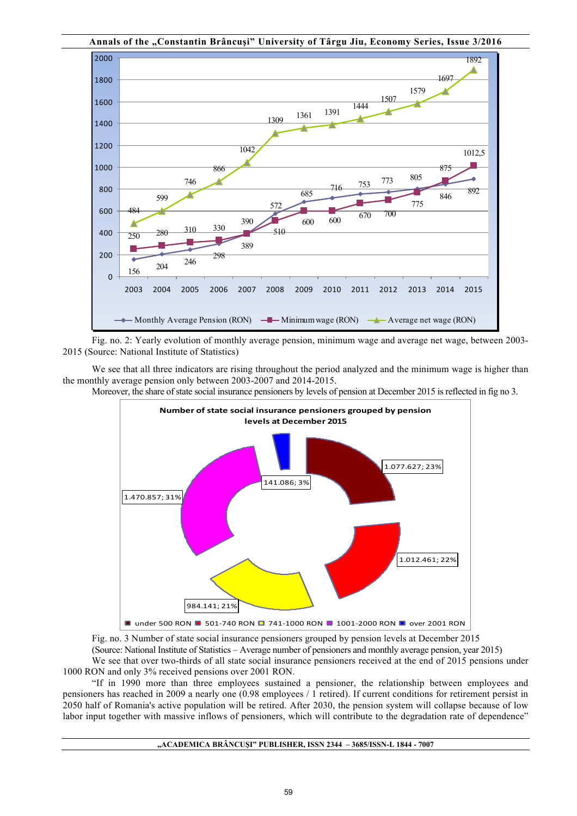

Fig. no. 2: Yearly evolution of monthly average pension, minimum wage and average net wage, between 2003- 2015 (Source: National Institute of Statistics)

We see that all three indicators are rising throughout the period analyzed and the minimum wage is higher than the monthly average pension only between 2003-2007 and 2014-2015.

Moreover, the share of state social insurance pensioners by levels of pension at December 2015 is reflected in fig no 3.



Fig. no. 3 Number of state social insurance pensioners grouped by pension levels at December 2015

(Source: National Institute of Statistics – Average number of pensioners and monthly average pension, year 2015)

We see that over two-thirds of all state social insurance pensioners received at the end of 2015 pensions under 1000 RON and only 3% received pensions over 2001 RON.

"If in 1990 more than three employees sustained a pensioner, the relationship between employees and pensioners has reached in 2009 a nearly one (0.98 employees / 1 retired). If current conditions for retirement persist in 2050 half of Romania's active population will be retired. After 2030, the pension system will collapse because of low labor input together with massive inflows of pensioners, which will contribute to the degradation rate of dependence"

### **"ACADEMICA BRÂNCUŞI" PUBLISHER, ISSN 2344 – 3685/ISSN-L 1844 - 7007**